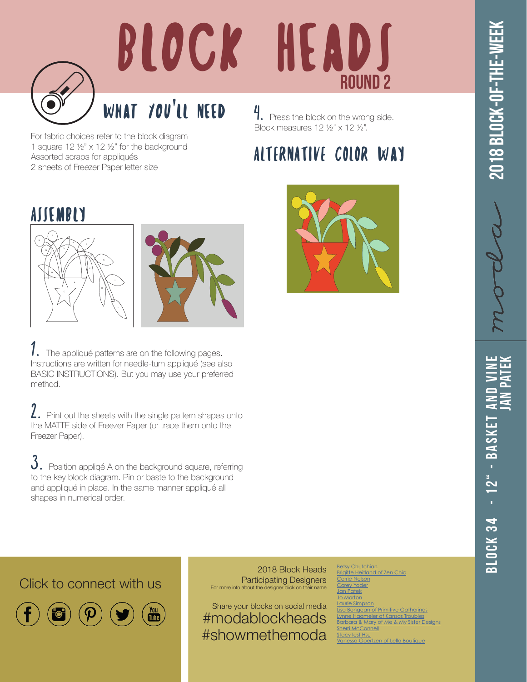

## BLOCK HEADS ROUND 2

## What You'll Need

For fabric choices refer to the block diagram 1 square 12 ½" x 12 ½" for the background Assorted scraps for appliqués 2 sheets of Freezer Paper letter size

4. Press the block on the wrong side. Block measures 12 ½" x 12 ½".

## ALTERNATIVE COLOR Way







 $1.$  The appliqué patterns are on the following pages. Instructions are written for needle-turn appliqué (see also BASIC INSTRUCTIONS). But you may use your preferred method.

2. Print out the sheets with the single pattern shapes onto the MATTE side of Freezer Paper (or trace them onto the Freezer Paper).

 $3.$  Position appliqé A on the background square, referring to the key block diagram. Pin or baste to the background and appliqué in place. In the same manner appliqué all shapes in numerical order.



[Betsy Chutchian](http://betsysbestquiltsandmore.blogspot.de) rigitte Heitland [Carrie Nelson](http://blog.modafabrics.com/) Yoder an Patek o Morton Simpson **Lisa Bongers**<br>Bongean of Primitive Gatherings [Lynne Hagmeier of Kansas Troubles](http://kansastroublesquilters-lynne.blogspot.de) <mark>arbara & Mary of</mark> [Sherri McConnell](http://www.aquiltinglife.com) by lest Hsu [Vanessa Goertzen of Lella Boutique](https://www.instagram.com/lellaboutique/)

## Click to connect with us



 $\begin{bmatrix} \gamma_{01} \\ \gamma_{12} \\ \cdots \end{bmatrix}$ 

2018 Block Heads Participating Designers For more info about the designer click on their name

Share your blocks on social media #modablockheads #showmethemoda

3LOCK 34 - 12" - BASKET ANI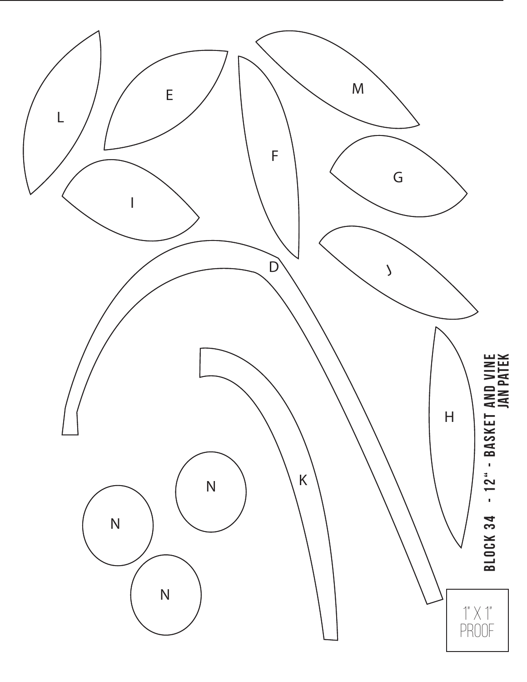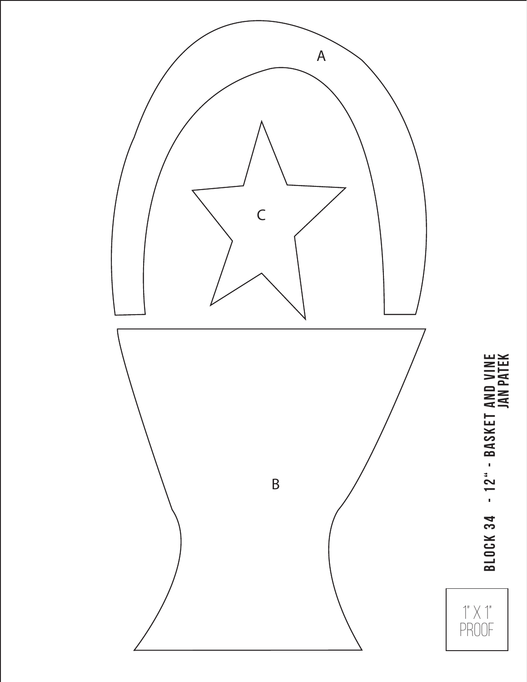

Block 34 - 12" - Basket and Vine **BLOCK 34 - 12" - BASKET AND VINE<br>JAN PATEK** 

 $\uparrow$ "  $\times$   $\uparrow$ "

PROOF